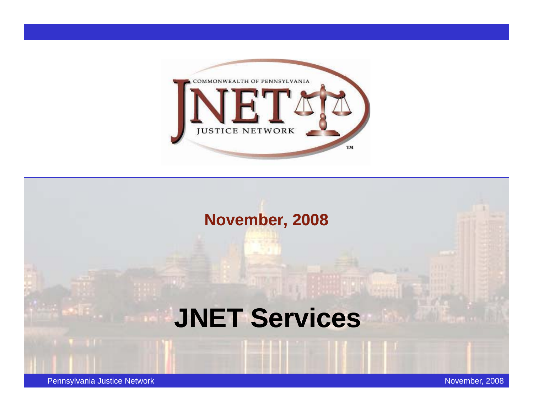

# **November, 2008 JNET Services**

Pennsylvania Justice Network November, 2008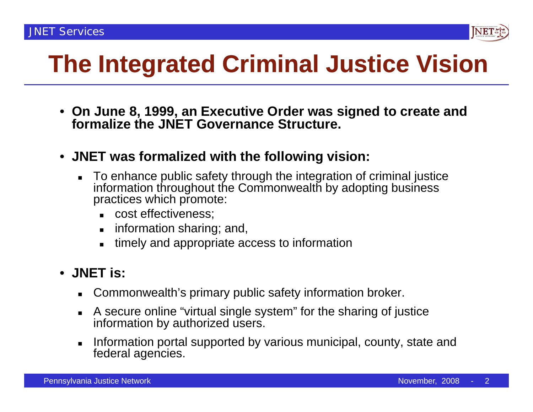

# **The Integrated Criminal Justice Vision**

- **On June 8, 1999, an Executive Order was signed to create and formalize the JNET Governance Structure.**
- **JNET was formalized with the following vision:**
	- To enhance public safety through the integration of criminal justice information throughout the Commonwealth by adopting business practices which promote:
		- cost effectiveness;
		- information sharing; and,
		- timely and appropriate access to information

#### • **JNET is:**

- Commonwealth's primary public safety information broker.
- A secure online "virtual single system" for the sharing of justice information by authorized users.
- **Information portal supported by various municipal, county, state and** federal agencies.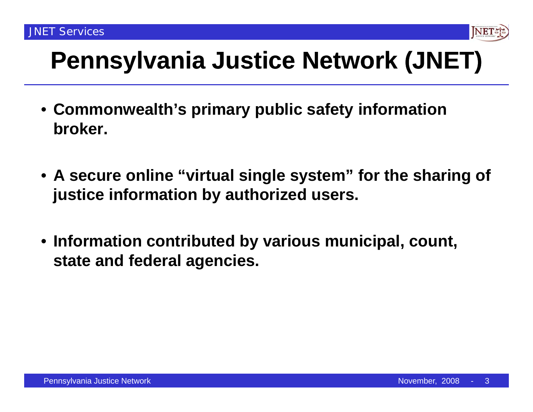

- **Commonwealth's primary public safety information broker.**
- **A secure online "virtual single system virtual system" for the sharing of justice information by authorized users.**
- **Information contributed by various municipal, count, state and federal agencies.**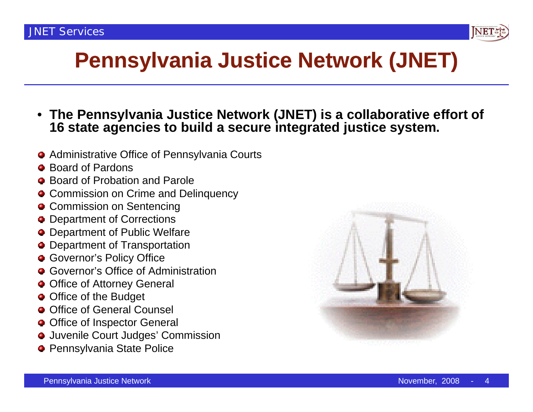

- **The Pennsylvania Justice Network (JNET) is a collaborative effort of 16 state agencies to build <sup>a</sup> secure integrated justice system system.**
- Administrative Office of Pennsylvania Courts
- Board of Pardons
- Board of Probation and Parole . . . . . . . . . . . . . . .
- **Commission on Crime and Delinquency**
- **Commission on Sentencing**
- $\bullet$  Department of Corrections
- Department of Public Welfare
- Department of Transportation
- **Governor's Policy Office**
- **Governor's Office of Administration**
- $\bullet$  Office of Attorney General
- Office of the Budget
- **O** Office of General Counsel
- Office of Inspector General
- Juvenile Court Judges' Commission
- **Pennsylvania State Police**

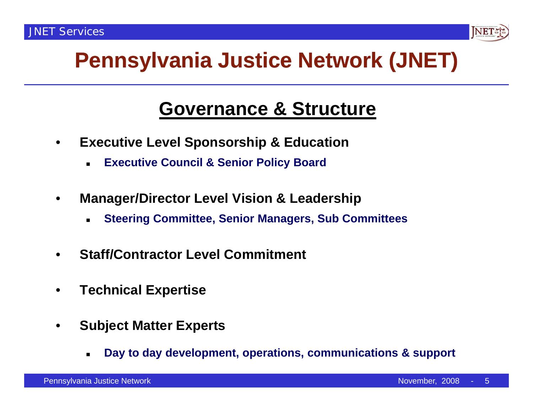

#### **Governance & Structure**

- $\bullet$  **Executive Level Sponsorship & Education**
	- Г **Executive Council & Senior Policy Board**
- $\bullet$  **Manager/Director Level Vision & Leadership**
	- **Steering Committee, Senior Managers, Sub Committees**
- •**Staff/Contractor Level Commitment**
- $\bullet$ **Technical Expertise**
- $\bullet$  **Subject Matter Experts**
	- Г **Day to day development, operations, communications & support**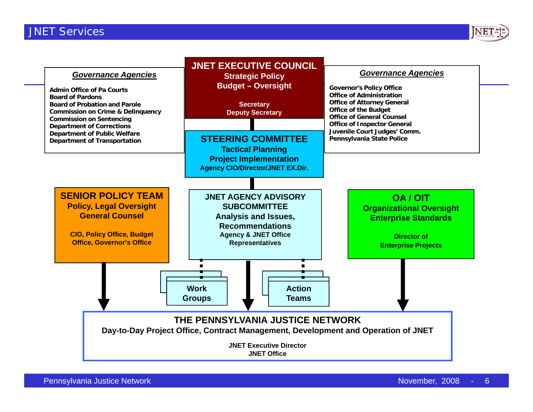

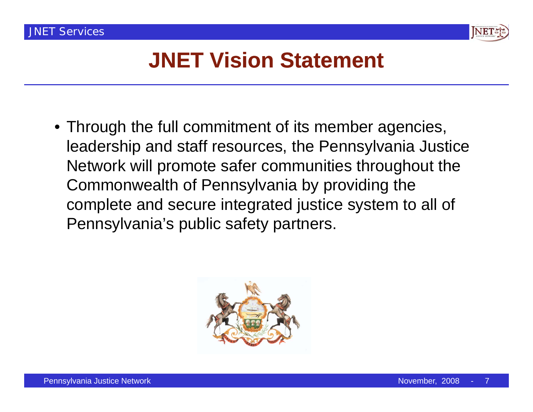

## **JNET Vision Statement**

• Through the full commitment of its member agencies, leadership and staff resources, the Pennsylvania Justice Network will promote safer communities throughout the Commonwealth of Pennsylvania by providing the complete and secure integrated justice system to all of Pennsylvania's public safety partners.

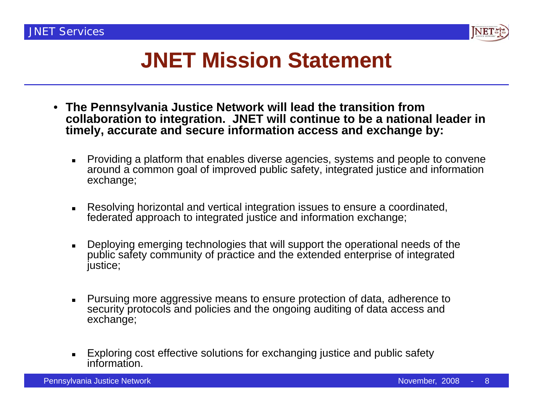

## **JNET Mission Statement**

- $\bullet$  **The Pennsylvania Justice Network will lead the transition from collaboration to integration. JNET will continue to be a national leader in**  timely, accurate and secure information access and exchange by:
	- Providing a platform that enables diverse agencies, systems and people to convene around a common goal of improved public safety, integrated justice and information exchange;
	- Resolving horizontal and vertical integration issues to ensure a coordinated, federated approach to integrated justice and information exchange;
	- Deploying emerging technologies that will support the operational needs of the public safety community of practice and the extended enterprise of integrated justice;
	- Pursuing more aggressive means to ensure protection of data, adherence to security protocols and policies and the ongoing auditing of data access and exchange;
	- Exploring cost effective solutions for exchanging justice and public safety information.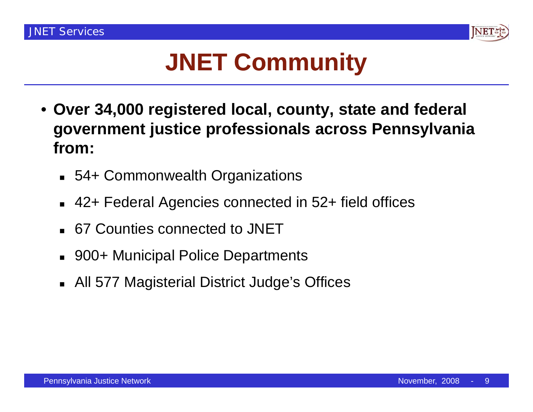

# **JNET Community**

- **Over 34,000 registered local, county, state and federal government justice professionals across Pennsylvania from:**
	- 54+ Commonwealth Organizations
	- $\blacksquare$ 42+ Federal Agencies connected in 52+ field offices
	- 67 Counties connected to JNET
	- $\blacksquare$ 900+ Municipal Police Departments
	- All 577 Magisterial District Judge's Offices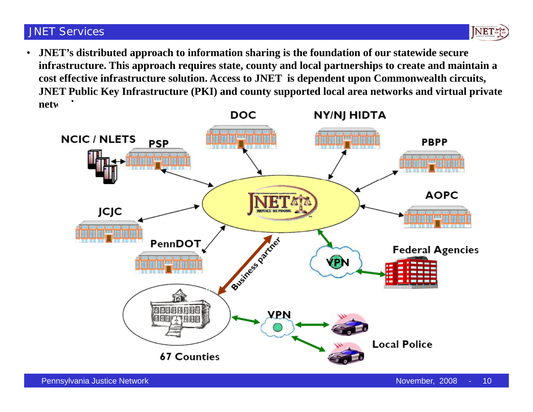

• **JNET's distributed approach to information sharing is the foundation of our statewide secure infrastructure. This approach requires state, county and local partnerships to create and maintain a**  cost effective infrastructure solution. Access to JNET is dependent upon Commonwealth circuits, **JNET Public Key Infrastructure (PKI) and county supported local area networks and virtual private netw** 

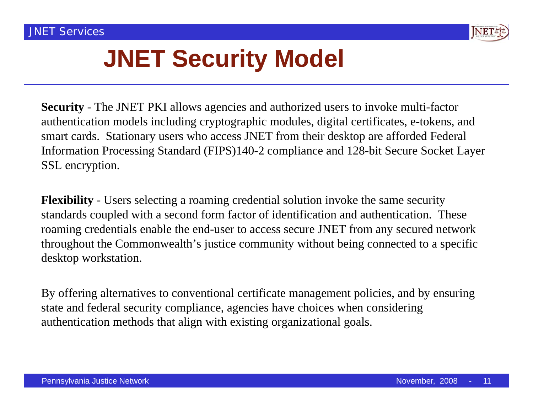

# **JNET Security Model**

**Security** - The JNET PKI allows agencies and authorized users to invoke multi-factor authentication models including cryptographic modules, digital certificates, e-tokens, and smart cards. Stationary users who access JNET from their desktop are afforded Federal Information Processing Standard (FIPS)140-2 compliance and 128-bit Secure Socket Layer SSL encryption.

**Flexibility** - Users selecting a roaming credential solution invoke the same security standards coupled with a second form factor of identification and authentication. These roaming credentials enable the end-user to access secure JNET from any secured network throughout the Commonwealth's justice community without being connected to a specific desktop workstation.

By offering alternatives to conventional certificate management policies, and by ensuring state and federal security compliance, agencies have choices when considering authentication methods that align with existing organizational goals.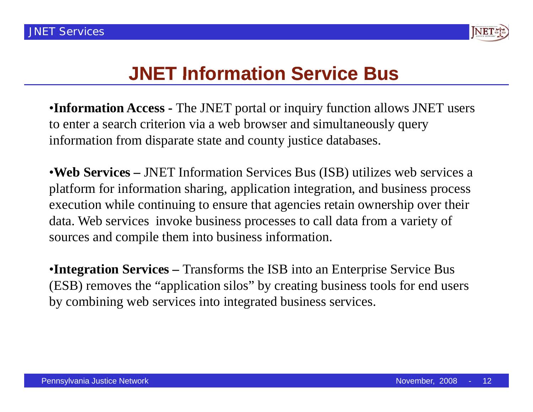

#### **JNET Information Service Bus**

•**Information Access -** The JNET portal or inquiry function allows JNET users to enter <sup>a</sup> search criterion via <sup>a</sup> web browser and simultaneously query Information Access - The JNET portal or inquiry function all<br>o enter a search criterion via a web browser and simultaneousl information from disparate state and county justice databases.

•**Web Services –** JNET Information Services Bus (ISB) utilizes web services a platform for information sharing, application integration, and business process execution while continuing to ensure that agencies retain ownership over their data. Web services invoke business processes to call data from a variety of sources and compile them into business information.

•**Integration Services –** Transforms the ISB into an Enterprise Service Bus (ESB) removes the "application silos" by creating business tools for end users by combining web services into integrated business services.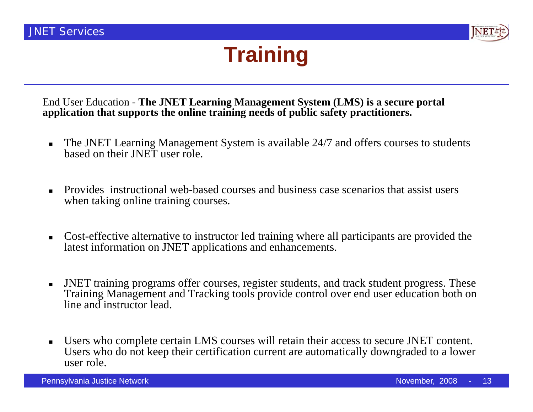

## **Training**

End User Education - **The JNET Learning Management System (LMS) is a secure portal application that supports the online training needs of public safety practitioners.**

- The JNET Learning Management System is available 24/7 and offers courses to students based on their JNET user role.
- Provides instructional web-based courses and business case scenarios that assist users when taking online training courses.
- Cost-effective alternative to instructor led training where all participants are provided the latest information on JNET applications and enhancements.
- JNET training programs offer courses, register students, and track student progress. These Training Management and Tracking tools provide control over end user education both on line and instructor lead.
- Г Users who complete certain LMS courses will retain their access to secure JNET content. Users who do not keep their certification current are automatically downgraded to a lower user role.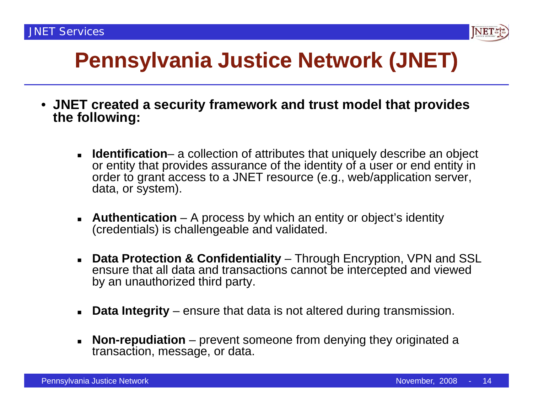

- **JNET created a security framework and trust model that provides the following:**
	- **Identification** a collection of attributes that uniquely describe an object or entity that provides assurance of the identity of a user or end entity in order to grant access to a JNET resource (e.g., web/application server, data, or system).
	- **Authentication** A process by which an entity or object's identity (credentials) is challengeable and validated.
	- **Data Protection & Confidentiality**  Through Encryption, VPN and SSL ensure that all data and transactions cannot be intercepted and viewed by an unauthorized third party.
	- **Data Integrity** – ensure that data is not altered during transmission.
	- **Non-repudiation** prevent someone from denying they originated a transaction, message, or data.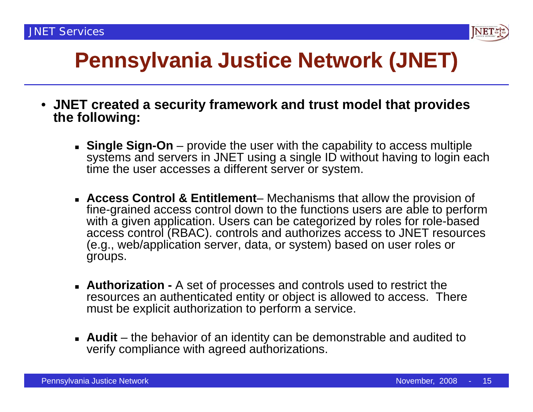

- **JNET created a security framework and trust model that provides the following:**
	- **Single Sign-On** provide the user with the capability to access multiple systems and servers in JNET using a single ID without having to login each time the user accesses a different server or system.
	- **Access Control & Entitlement** Mechanisms that allow the provision of fine-grained access control down to the functions users are able to perform with a given application. Users can be categorized by roles for role-based access control (RBAC). controls and authorizes access to JNET resources (e.g., web/application server, data, or system) based on user roles or groups.
	- **Authorization -** A set of processes and controls used to restrict the resources an authenticated entity or object is allowed to access. There must be explicit authorization to perform a service.
	- **Audit** the behavior of an identity can be demonstrable and audited to verify compliance with agreed authorizations.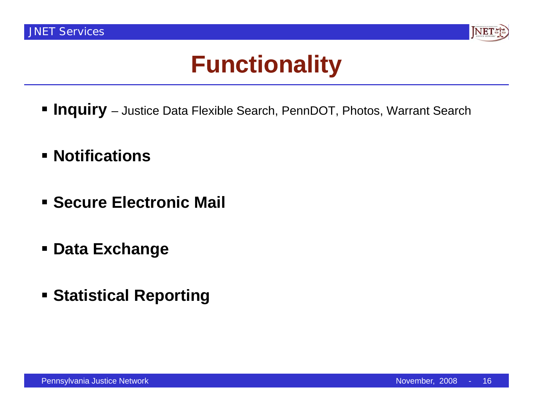

# **Functionality**

- **Inquiry** Justice Data Flexible Search, PennDOT, Photos, Warrant Search
- **Notifications**
- **Example Electronic Mail**
- **Data Exchange**
- **Statistical Reporting**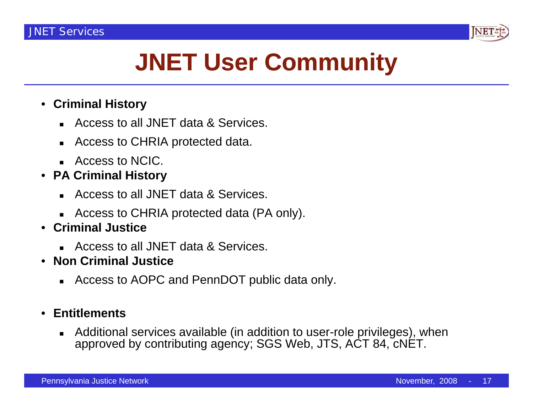

# **JNET User Community**

#### • **Criminal History**

- Access to all JNET data & Services.
- Access to CHRIA protected data.
- Access to NCIC.
- **PA Criminal History**
	- Access to all JNET data & Services.
	- Access to CHRIA protected data (PA only).
- $\bullet$  **C a Just ce riminal Justice**
	- Access to all JNET data & Services.
- • **Non Criminal Justice**
	- Access to AOPC and PennDOT public data only.

#### $\bullet$ **Entitlements**

 $\blacksquare$ **Additional services available (in addition to user-role privileges), when** approved by contributing agency; SGS Web, JTS, ACT 84, cNET.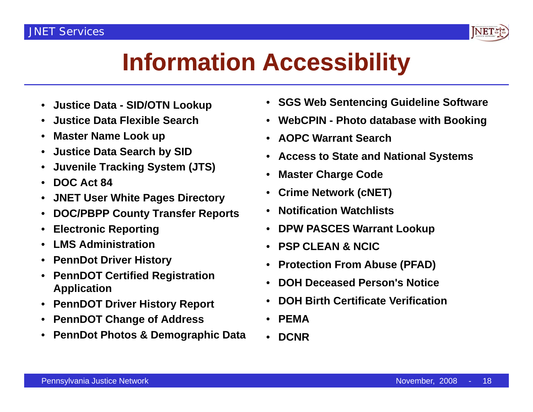

# **Information Accessibility**

- **Justice Data - SID/OTN Lookup**
- $\bullet$ **Justice Data Flexible Search**
- $\bullet$ **Master Name Look up**
- $\bullet$ **Justice Data Search by SID**
- •**Juvenile Tracking System (JTS)**
- **DOC A t 84 Act** •
- $\bullet$ **JNET User White Pages Directory**
- $\bullet$ **DOC/PBPP County Transfer Reports**
- •**Electronic Reporting**
- $\bullet$ **LMS Administration**
- $\bullet$ **PennDot Driver History**
- $\bullet$  **PennDOT Certified Registration Application**
- $\bullet$ **PennDOT Driver History Report**
- •**PennDOT Change of Address**
- **PennDot Photos & Demographic Data Photos** •
- **SGS Web Sentencing Guideline Software**
- **WebCPIN - Photo database with Booking**
- **AOPC Warrant Search**
- •**Access to State and National Systems**
- •**Master Charge Code g**
- •**Crime Network (cNET)**
- •**Notification Watchlists**
- • **DPW PASCES Warrant Lookup**
	- **PSP CLEAN & NCIC**
	- •**Protection From Abuse (PFAD)**
	- •**DOH Deceased Person's Notice Person s**
	- •**DOH Birth Certificate Verification**
	- •**PEMA**
	- **DCNR**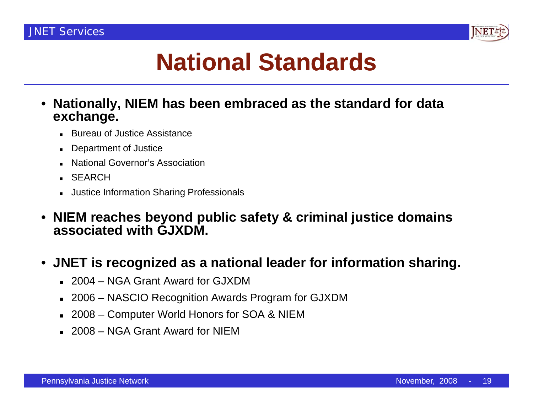

# **National Standards**

- **Nationally, NIEM has been embraced as the standard for data exchange.**
	- П Bureau of Justice Assistance
	- П Department of Justice
	- П National Governor's Association
	- SEARCH
	- Justice Information Sharing Professionals
- $\bullet$  **NIEM reaches beyond public safety & criminal justice domains associated with GJXDM GJXDM.**
- **JNET is recognized as a national leader for information sharing.**
	- 2004 NGA Grant Award for GJXDM
	- 2006 NASCIO Recognition Awards Program for GJXDM
	- 2008 Computer World Honors for SOA & NIEM
	- 2008 NGA Grant Award for NIEM